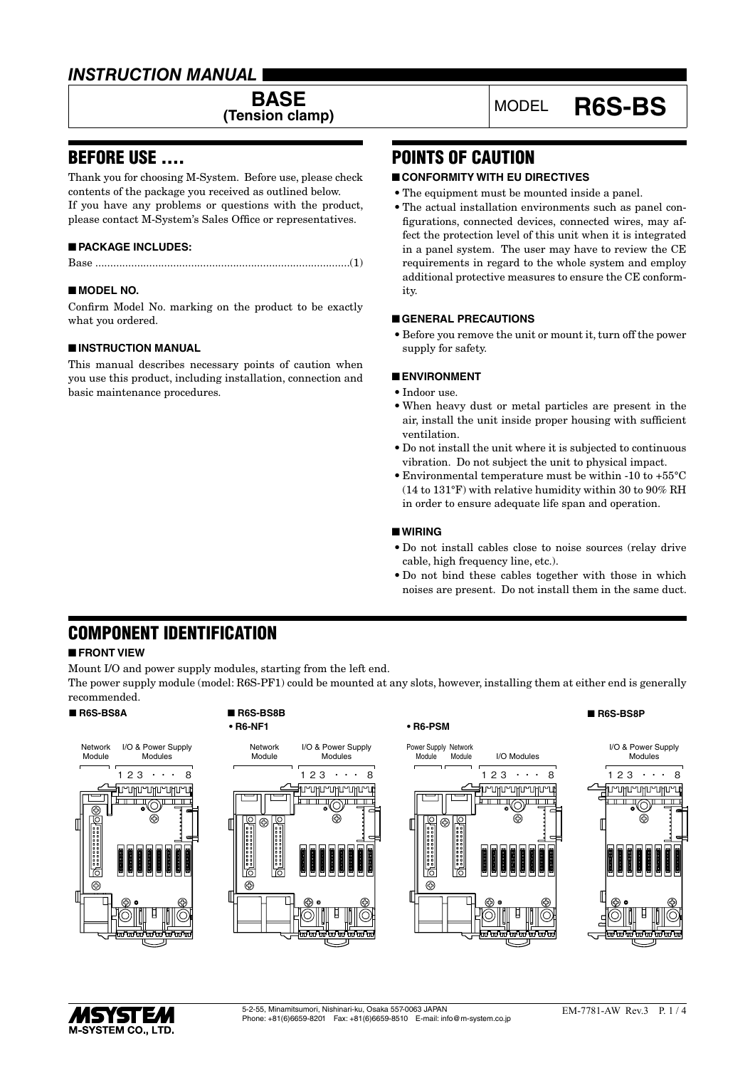# *INSTRUCTION MANUAL*

**BASE**<br>(Tension clamp)

## BEFORE USE ....

Thank you for choosing M-System. Before use, please check contents of the package you received as outlined below. If you have any problems or questions with the product, please contact M-System's Sales Office or representatives.

#### ■ **PACKAGE INCLUDES:**

Base .....................................................................................(1)

#### ■ **MODEL NO.**

Confirm Model No. marking on the product to be exactly what you ordered.

#### ■ **INSTRUCTION MANUAL**

This manual describes necessary points of caution when you use this product, including installation, connection and basic maintenance procedures.

# **(Tension clamp)** MODEL **R6S-BS**

# POINTS OF CAUTION

#### ■ **CONFORMITY WITH EU DIRECTIVES**

- The equipment must be mounted inside a panel.
- The actual installation environments such as panel configurations, connected devices, connected wires, may affect the protection level of this unit when it is integrated in a panel system. The user may have to review the CE requirements in regard to the whole system and employ additional protective measures to ensure the CE conformity.

#### ■ **GENERAL PRECAUTIONS**

• Before you remove the unit or mount it, turn off the power supply for safety.

#### ■ **ENVIRONMENT**

- • Indoor use.
- When heavy dust or metal particles are present in the air, install the unit inside proper housing with sufficient ventilation.
- • Do not install the unit where it is subjected to continuous vibration. Do not subject the unit to physical impact.
- $\bullet$  Environmental temperature must be within -10 to +55 $\rm ^{\circ}C$ (14 to 131°F) with relative humidity within 30 to 90% RH in order to ensure adequate life span and operation.

#### ■ **WIRING**

- • Do not install cables close to noise sources (relay drive cable, high frequency line, etc.).
- • Do not bind these cables together with those in which noises are present. Do not install them in the same duct.

# COMPONENT IDENTIFICATION

#### ■ **FRONT VIEW**

Mount I/O and power supply modules, starting from the left end.

The power supply module (model: R6S-PF1) could be mounted at any slots, however, installing them at either end is generally recommended.



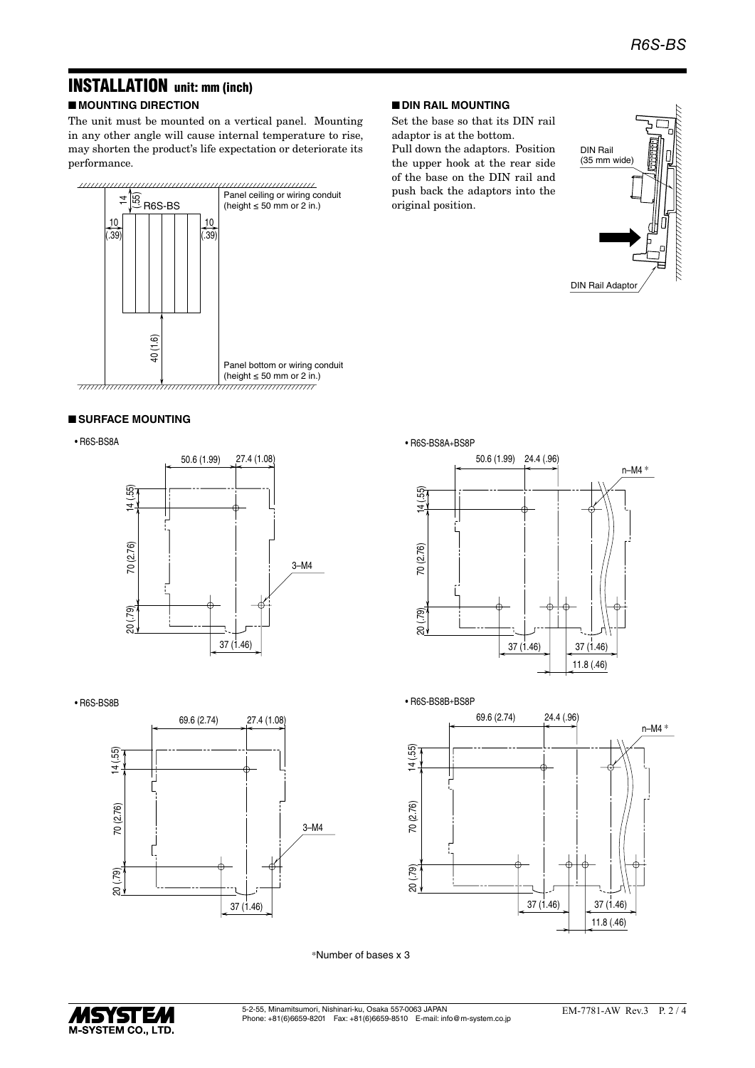# INSTALLATION unit: mm (inch)

■ **MOUNTING DIRECTION** The unit must be mounted on a vertical panel. Mounting

in any other angle will cause internal temperature to rise, may shorten the product's life expectation or deteriorate its performance.



#### ■ **SURFACE MOUNTING**

• R6S-BS8A







#### ■ **DIN RAIL MOUNTING**

Set the base so that its DIN rail adaptor is at the bottom.

Pull down the adaptors. Position the upper hook at the rear side of the base on the DIN rail and push back the adaptors into the original position.







\*Number of bases x 3

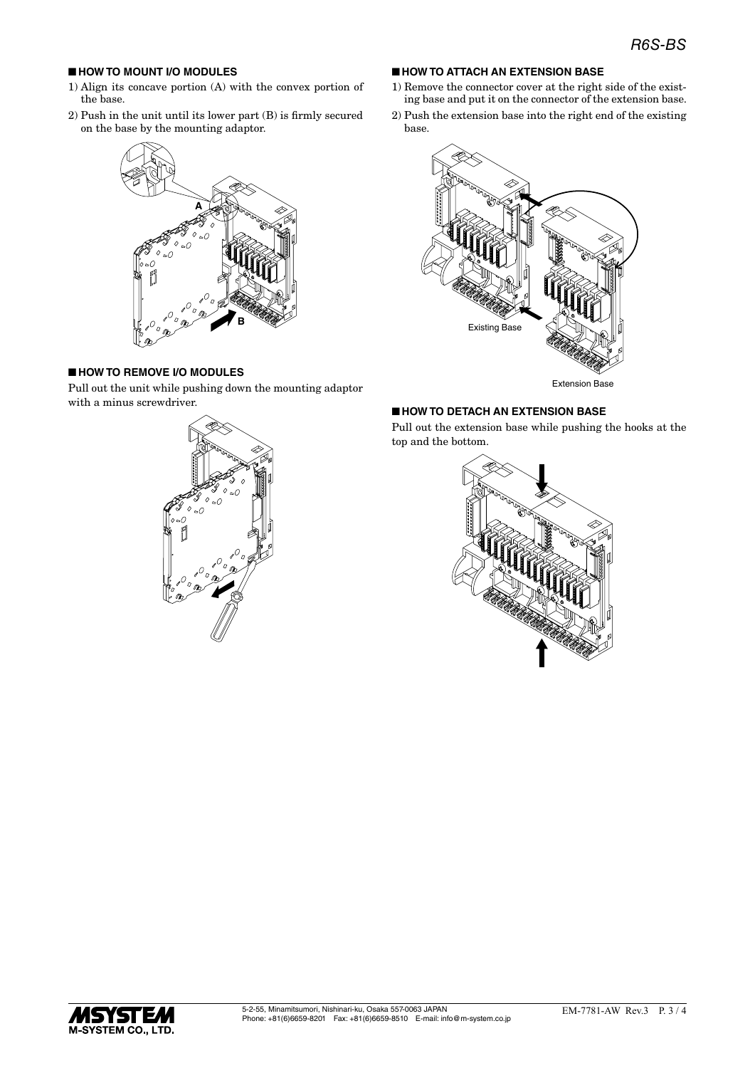#### ■ **HOW TO MOUNT I/O MODULES**

- 1) Align its concave portion (A) with the convex portion of the base.
- 2) Push in the unit until its lower part (B) is firmly secured on the base by the mounting adaptor.



### ■ **HOW TO REMOVE I/O MODULES**

Pull out the unit while pushing down the mounting adaptor with a minus screwdriver.



#### ■ **HOW TO ATTACH AN EXTENSION BASE**

- 1) Remove the connector cover at the right side of the existing base and put it on the connector of the extension base.
- 2) Push the extension base into the right end of the existing base.



Extension Base

#### ■ **HOW TO DETACH AN EXTENSION BASE**

Pull out the extension base while pushing the hooks at the top and the bottom.